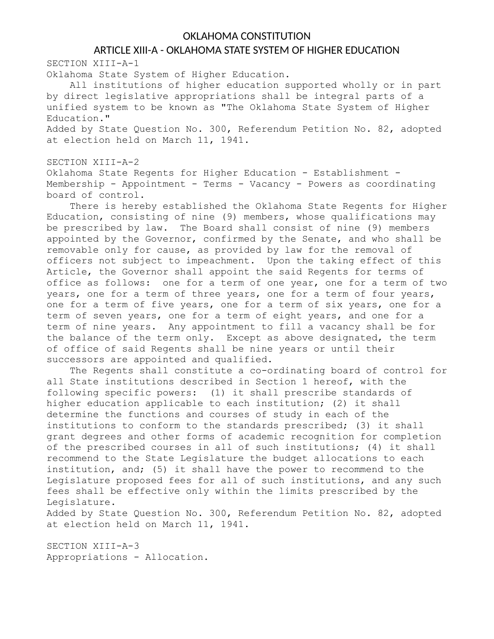## OKLAHOMA CONSTITUTION

## ARTICLE XIII-A - OKLAHOMA STATE SYSTEM OF HIGHER EDUCATION

SECTION XIII-A-1

Oklahoma State System of Higher Education.

All institutions of higher education supported wholly or in part by direct legislative appropriations shall be integral parts of a unified system to be known as "The Oklahoma State System of Higher Education."

Added by State Question No. 300, Referendum Petition No. 82, adopted at election held on March 11, 1941.

## SECTION XIII-A-2

Oklahoma State Regents for Higher Education - Establishment - Membership - Appointment - Terms - Vacancy - Powers as coordinating board of control.

There is hereby established the Oklahoma State Regents for Higher Education, consisting of nine (9) members, whose qualifications may be prescribed by law. The Board shall consist of nine (9) members appointed by the Governor, confirmed by the Senate, and who shall be removable only for cause, as provided by law for the removal of officers not subject to impeachment. Upon the taking effect of this Article, the Governor shall appoint the said Regents for terms of office as follows: one for a term of one year, one for a term of two years, one for a term of three years, one for a term of four years, one for a term of five years, one for a term of six years, one for a term of seven years, one for a term of eight years, and one for a term of nine years. Any appointment to fill a vacancy shall be for the balance of the term only. Except as above designated, the term of office of said Regents shall be nine years or until their successors are appointed and qualified.

The Regents shall constitute a co-ordinating board of control for all State institutions described in Section 1 hereof, with the following specific powers: (1) it shall prescribe standards of higher education applicable to each institution; (2) it shall determine the functions and courses of study in each of the institutions to conform to the standards prescribed; (3) it shall grant degrees and other forms of academic recognition for completion of the prescribed courses in all of such institutions; (4) it shall recommend to the State Legislature the budget allocations to each institution, and; (5) it shall have the power to recommend to the Legislature proposed fees for all of such institutions, and any such fees shall be effective only within the limits prescribed by the Legislature.

Added by State Question No. 300, Referendum Petition No. 82, adopted at election held on March 11, 1941.

SECTION XIII-A-3 Appropriations - Allocation.